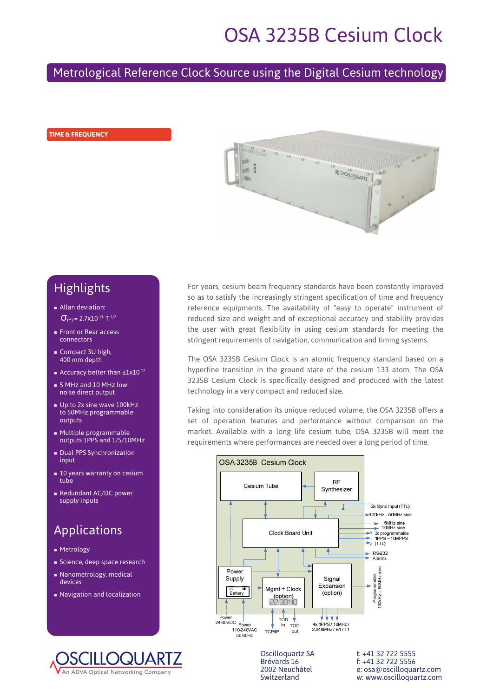# OSA 3235B Cesium Clock

# Metrological Reference Clock Source using the Digital Cesium technology

#### **TIME & FREQUENCY**



# Highlights

- **Allan deviation:**  $σ<sub>(τ)</sub> = 2.7x10<sup>-11</sup> T<sup>-1/2</sup>$
- Front or Rear access connectors
- Compact 3U high, 400 mm depth
- Accuracy better than  $\pm 1 \times 10^{-12}$
- 5 MHz and 10 MHz low noise direct output
- Un to 2x sine wave 100kHz to 50MHz programmable outputs
- Multiple programmable outputs 1PPS and 1/5/10MHz
- Dual PPS Synchronization input
- **10 years warranty on cesium** tube
- Redundant AC/DC power supply inputs

# Applications

- **Metrology**
- Science, deep space research
- Nanometrology, medical devices
- Navigation and localization



For years, cesium beam frequency standards have been constantly improved so as to satisfy the increasingly stringent specification of time and frequency reference equipments. The availability of "easy to operate" instrument of reduced size and weight and of exceptional accuracy and stability provides the user with great flexibility in using cesium standards for meeting the stringent requirements of navigation, communication and timing systems.

The OSA 3235B Cesium Clock is an atomic frequency standard based on a hyperfine transition in the ground state of the cesium 133 atom. The OSA 3235B Cesium Clock is specifically designed and produced with the latest technology in a very compact and reduced size.

Taking into consideration its unique reduced volume, the OSA 3235B offers a set of operation features and performance without comparison on the market. Available with a long life cesium tube, OSA 3235B will meet the requirements where performances are needed over a long period of time.



Oscilloquartz SA t: +41 32 722 5555<br>Brévards 16 f: +41 32 722 5556 Brévards 16 f: +41 32 722 5556<br>2002 Neuchâtel e: osa@oscillogua e: osa@oscilloquartz.com Switzerland w: www.oscilloquartz.com